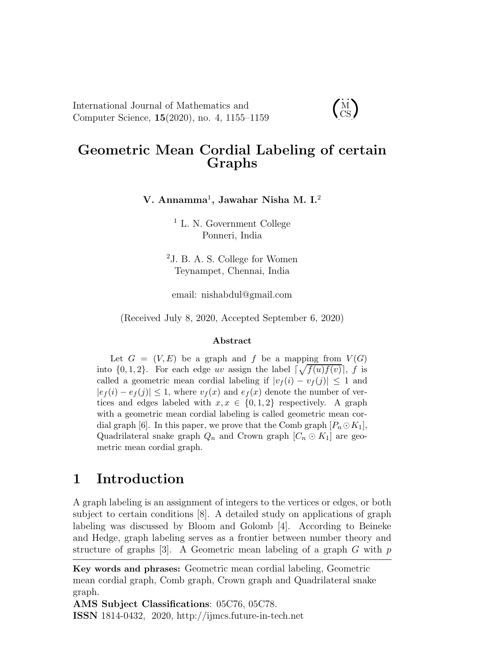International Journal of Mathematics and Computer Science, 15(2020), no. 4, 1155–1159

## Geometric Mean Cordial Labeling of certain Graphs

 $\dot{M}$ CS

#### V. Annamma $^1$ , Jawahar Nisha M. I. $^2$

<sup>1</sup> L. N. Government College Ponneri, India

<sup>2</sup>J. B. A. S. College for Women Teynampet, Chennai, India

email: nishabdul@gmail.com

(Received July 8, 2020, Accepted September 6, 2020)

#### Abstract

Let  $G = (V, E)$  be a graph and f be a mapping from  $V(G)$ into  $\{0, 1, 2\}$ . For each edge uv assign the label  $\lceil \sqrt{f(u)f(v)} \rceil$ , f is called a geometric mean cordial labeling if  $|v_f(i) - v_f(j)| \leq 1$  and  $|e_f(i) - e_f(j)| \leq 1$ , where  $v_f(x)$  and  $e_f(x)$  denote the number of vertices and edges labeled with  $x, x \in \{0, 1, 2\}$  respectively. A graph with a geometric mean cordial labeling is called geometric mean cordial graph [6]. In this paper, we prove that the Comb graph  $[P_n \odot K_1]$ , Quadrilateral snake graph  $Q_n$  and Crown graph  $[C_n \odot K_1]$  are geometric mean cordial graph.

## 1 Introduction

A graph labeling is an assignment of integers to the vertices or edges, or both subject to certain conditions [8]. A detailed study on applications of graph labeling was discussed by Bloom and Golomb [4]. According to Beineke and Hedge, graph labeling serves as a frontier between number theory and structure of graphs [3]. A Geometric mean labeling of a graph  $G$  with  $p$ 

AMS Subject Classifications: 05C76, 05C78. ISSN 1814-0432, 2020, http://ijmcs.future-in-tech.net

Key words and phrases: Geometric mean cordial labeling, Geometric mean cordial graph, Comb graph, Crown graph and Quadrilateral snake graph.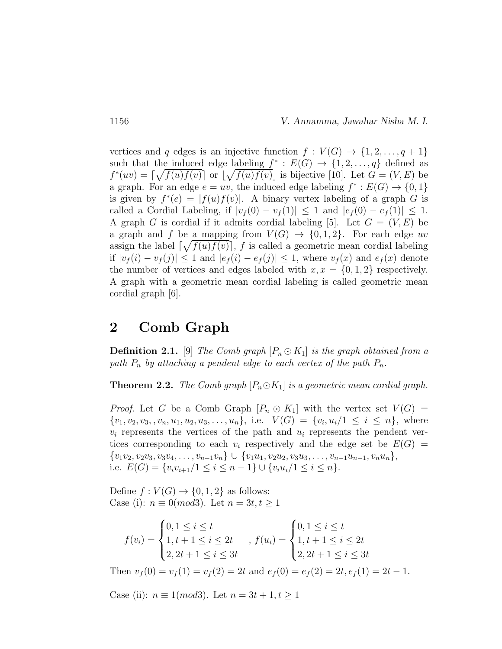vertices and q edges is an injective function  $f: V(G) \to \{1, 2, ..., q + 1\}$ such that the induced edge labeling  $f^* : E(G) \to \{1, 2, ..., q\}$  defined as  $f^*(uv) = \lceil \sqrt{f(u)f(v)} \rceil$  or  $\lceil \sqrt{f(u)f(v)} \rceil$  is bijective [10]. Let  $G = (V, E)$  be a graph. For an edge  $e = uv$ , the induced edge labeling  $f^* : E(G) \to \{0, 1\}$ is given by  $f^*(e) = |f(u)f(v)|$ . A binary vertex labeling of a graph G is called a Cordial Labeling, if  $|v_f(0) - v_f(1)| \leq 1$  and  $|e_f(0) - e_f(1)| \leq 1$ . A graph G is cordial if it admits cordial labeling [5]. Let  $G = (V, E)$  be a graph and f be a mapping from  $V(G) \rightarrow \{0, 1, 2\}$ . For each edge uv assign the label  $\lceil \sqrt{f(u)f(v)} \rceil$ , f is called a geometric mean cordial labeling if  $|v_f(i) - v_f(j)| \leq 1$  and  $|e_f(i) - e_f(j)| \leq 1$ , where  $v_f(x)$  and  $e_f(x)$  denote the number of vertices and edges labeled with  $x, x = \{0, 1, 2\}$  respectively. A graph with a geometric mean cordial labeling is called geometric mean cordial graph [6].

## 2 Comb Graph

**Definition 2.1.** [9] The Comb graph  $[P_n \odot K_1]$  is the graph obtained from a path  $P_n$  by attaching a pendent edge to each vertex of the path  $P_n$ .

**Theorem 2.2.** The Comb graph  $[P_n \odot K_1]$  is a geometric mean cordial graph.

*Proof.* Let G be a Comb Graph  $[P_n \odot K_1]$  with the vertex set  $V(G)$  =  $\{v_1, v_2, v_3, v_n, u_1, u_2, u_3, \ldots, u_n\},$  i.e.  $V(G) = \{v_i, u_i/1 \leq i \leq n\},$  where  $v_i$  represents the vertices of the path and  $u_i$  represents the pendent vertices corresponding to each  $v_i$  respectively and the edge set be  $E(G)$  =  ${v_1v_2, v_2v_3, v_3v_4, \ldots, v_{n-1}v_n} \cup {v_1u_1, v_2u_2, v_3u_3, \ldots, v_{n-1}u_{n-1}, v_nu_n},$ i.e.  $E(G) = \{v_i v_{i+1}/1 \leq i \leq n-1\} \cup \{v_i u_i/1 \leq i \leq n\}.$ 

Define  $f: V(G) \to \{0, 1, 2\}$  as follows: Case (i):  $n \equiv 0 \pmod{3}$ . Let  $n = 3t, t \geq 1$ 

$$
f(v_i) = \begin{cases} 0, 1 \le i \le t \\ 1, t + 1 \le i \le 2t \\ 2, 2t + 1 \le i \le 3t \end{cases}, f(u_i) = \begin{cases} 0, 1 \le i \le t \\ 1, t + 1 \le i \le 2t \\ 2, 2t + 1 \le i \le 3t \end{cases}
$$

Then  $v_f(0) = v_f(1) = v_f(2) = 2t$  and  $e_f(0) = e_f(2) = 2t$ ,  $e_f(1) = 2t - 1$ .

Case (ii):  $n \equiv 1 \pmod{3}$ . Let  $n = 3t + 1, t \ge 1$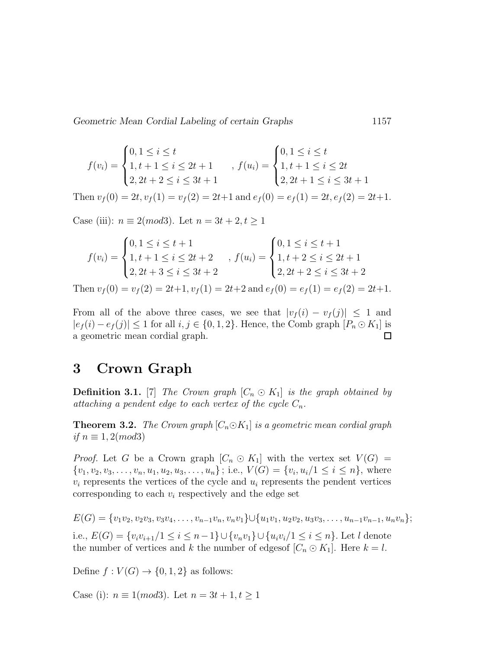Geometric Mean Cordial Labeling of certain Graphs 1157

$$
f(v_i) = \begin{cases} 0, 1 \le i \le t \\ 1, t+1 \le i \le 2t+1 \\ 2, 2t+2 \le i \le 3t+1 \end{cases}, f(u_i) = \begin{cases} 0, 1 \le i \le t \\ 1, t+1 \le i \le 2t \\ 2, 2t+1 \le i \le 3t+1 \end{cases}
$$

Then  $v_f(0) = 2t, v_f(1) = v_f(2) = 2t+1$  and  $e_f(0) = e_f(1) = 2t, e_f(2) = 2t+1$ .

Case (iii):  $n \equiv 2 \pmod{3}$ . Let  $n = 3t + 2, t \ge 1$ 

$$
f(v_i) = \begin{cases} 0, 1 \le i \le t + 1 \\ 1, t + 1 \le i \le 2t + 2 \\ 2, 2t + 3 \le i \le 3t + 2 \end{cases}, f(u_i) = \begin{cases} 0, 1 \le i \le t + 1 \\ 1, t + 2 \le i \le 2t + 1 \\ 2, 2t + 2 \le i \le 3t + 2 \end{cases}
$$

Then  $v_f(0) = v_f(2) = 2t+1$ ,  $v_f(1) = 2t+2$  and  $e_f(0) = e_f(1) = e_f(2) = 2t+1$ .

From all of the above three cases, we see that  $|v_f(i) - v_f(j)| \leq 1$  and  $|e_f(i) - e_f(j)| \leq 1$  for all  $i, j \in \{0, 1, 2\}$ . Hence, the Comb graph  $[P_n \odot K_1]$  is a geometric mean cordial graph.  $\Box$ 

## 3 Crown Graph

**Definition 3.1.** [7] The Crown graph  $[C_n \odot K_1]$  is the graph obtained by attaching a pendent edge to each vertex of the cycle  $C_n$ .

**Theorem 3.2.** The Crown graph  $[C_n \odot K_1]$  is a geometric mean cordial graph if  $n \equiv 1, 2 \pmod{3}$ 

*Proof.* Let G be a Crown graph  $[C_n \odot K_1]$  with the vertex set  $V(G)$  =  $\{v_1, v_2, v_3, \ldots, v_n, u_1, u_2, u_3, \ldots, u_n\}$ ; i.e.,  $V(G) = \{v_i, u_i/1 \le i \le n\}$ , where  $v_i$  represents the vertices of the cycle and  $u_i$  represents the pendent vertices corresponding to each  $v_i$  respectively and the edge set

 $E(G) = \{v_1v_2, v_2v_3, v_3v_4, \ldots, v_{n-1}v_n, v_nv_1\} \cup \{u_1v_1, u_2v_2, u_3v_3, \ldots, u_{n-1}v_{n-1}, u_nv_n\};$ 

i.e.,  $E(G) = \{v_i v_{i+1}/1 \le i \le n-1\} \cup \{v_n v_1\} \cup \{u_i v_i/1 \le i \le n\}$ . Let *l* denote the number of vertices and k the number of edges  $[C_n \odot K_1]$ . Here  $k = l$ .

Define  $f: V(G) \to \{0, 1, 2\}$  as follows:

Case (i):  $n \equiv 1 \pmod{3}$ . Let  $n = 3t + 1, t \ge 1$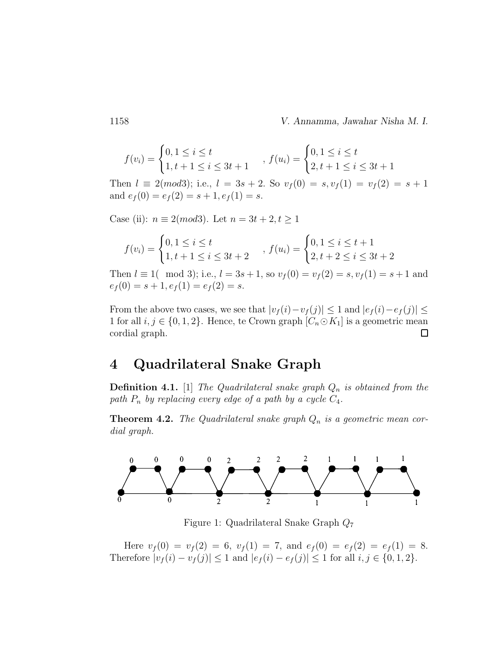1158 V. Annamma, Jawahar Nisha M. I.

$$
f(v_i) = \begin{cases} 0, 1 \le i \le t \\ 1, t+1 \le i \le 3t+1 \end{cases}, f(u_i) = \begin{cases} 0, 1 \le i \le t \\ 2, t+1 \le i \le 3t+1 \end{cases}
$$

Then  $l \equiv 2 \pmod{3}$ ; i.e.,  $l = 3s + 2$ . So  $v_f(0) = s$ ,  $v_f(1) = v_f(2) = s + 1$ and  $e_f(0) = e_f(2) = s + 1, e_f(1) = s$ .

Case (ii):  $n \equiv 2 \pmod{3}$ . Let  $n = 3t + 2, t \ge 1$ 

$$
f(v_i) = \begin{cases} 0, 1 \le i \le t \\ 1, t+1 \le i \le 3t+2 \end{cases}, f(u_i) = \begin{cases} 0, 1 \le i \le t+1 \\ 2, t+2 \le i \le 3t+2 \end{cases}
$$

Then  $l \equiv 1 \pmod{3}$ ; i.e.,  $l = 3s + 1$ , so  $v_f(0) = v_f(2) = s$ ,  $v_f(1) = s + 1$  and  $e_f(0) = s + 1, e_f(1) = e_f(2) = s.$ 

From the above two cases, we see that  $|v_f(i)-v_f(j)| \leq 1$  and  $|e_f(i)-e_f(j)| \leq$ 1 for all  $i, j \in \{0, 1, 2\}$ . Hence, te Crown graph  $[C_n \odot K_1]$  is a geometric mean cordial graph.  $\Box$ 

### 4 Quadrilateral Snake Graph

**Definition 4.1.** [1] The Quadrilateral snake graph  $Q_n$  is obtained from the path  $P_n$  by replacing every edge of a path by a cycle  $C_4$ .

**Theorem 4.2.** The Quadrilateral snake graph  $Q_n$  is a geometric mean cordial graph.



Figure 1: Quadrilateral Snake Graph Q<sup>7</sup>

Here  $v_f(0) = v_f(2) = 6$ ,  $v_f(1) = 7$ , and  $e_f(0) = e_f(2) = e_f(1) = 8$ . Therefore  $|v_f(i) - v_f(j)| \le 1$  and  $|e_f(i) - e_f(j)| \le 1$  for all  $i, j \in \{0, 1, 2\}$ .